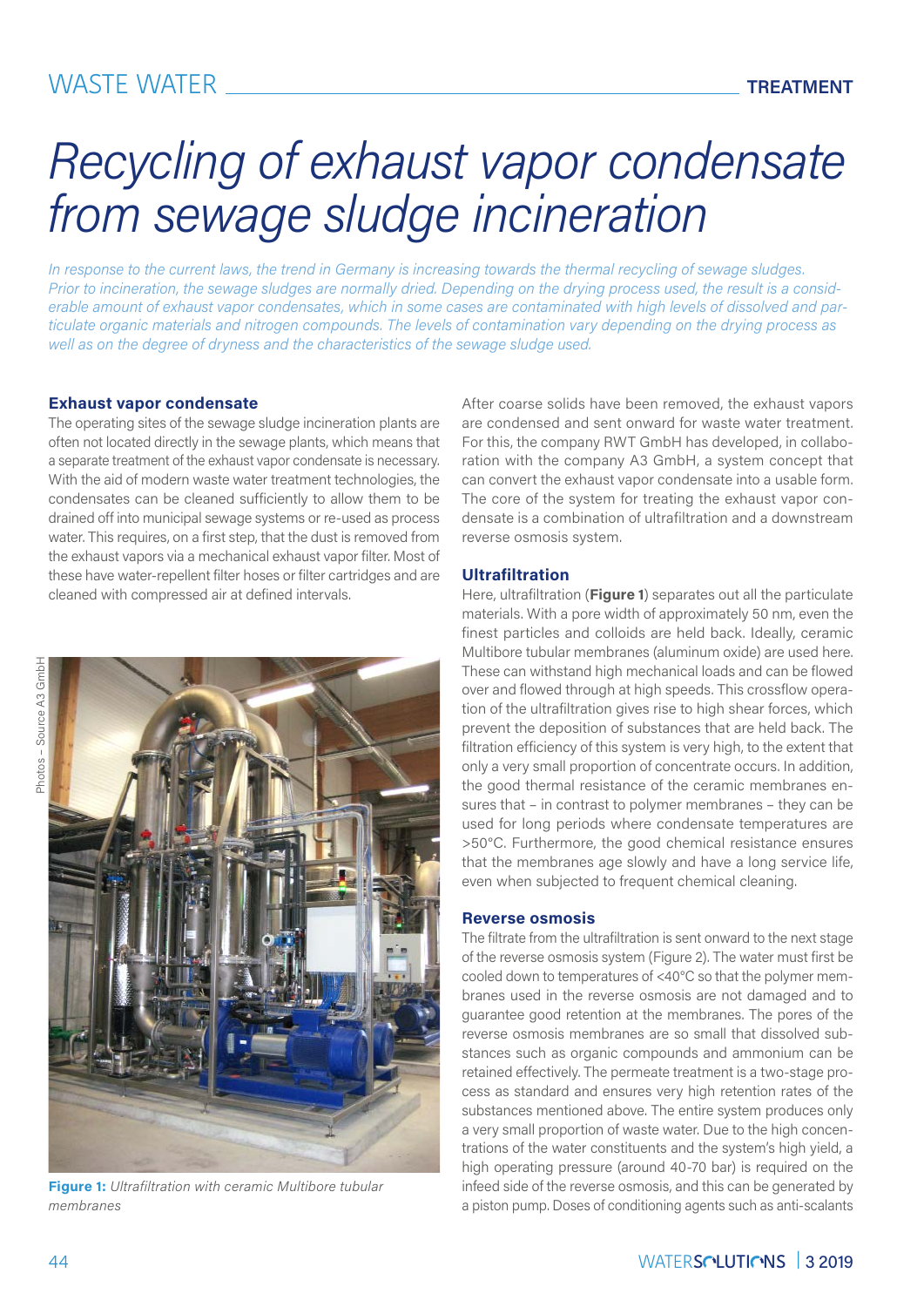## WASTE WATER **TREATMENT**

# *Recycling of exhaust vapor condensate from sewage sludge incineration*

*In response to the current laws, the trend in Germany is increasing towards the thermal recycling of sewage sludges. Prior to incineration, the sewage sludges are normally dried. Depending on the drying process used, the result is a considerable amount of exhaust vapor condensates, which in some cases are contaminated with high levels of dissolved and particulate organic materials and nitrogen compounds. The levels of contamination vary depending on the drying process as well as on the degree of dryness and the characteristics of the sewage sludge used.*

#### **Exhaust vapor condensate**

The operating sites of the sewage sludge incineration plants are often not located directly in the sewage plants, which means that a separate treatment of the exhaust vapor condensate is necessary. With the aid of modern waste water treatment technologies, the condensates can be cleaned sufficiently to allow them to be drained off into municipal sewage systems or re-used as process water. This requires, on a first step, that the dust is removed from the exhaust vapors via a mechanical exhaust vapor filter. Most of these have water-repellent filter hoses or filter cartridges and are cleaned with compressed air at defined intervals.



**Figure 1:** *Ultrafiltration with ceramic Multibore tubular membranes*

After coarse solids have been removed, the exhaust vapors are condensed and sent onward for waste water treatment. For this, the company RWT GmbH has developed, in collaboration with the company A3 GmbH, a system concept that can convert the exhaust vapor condensate into a usable form. The core of the system for treating the exhaust vapor condensate is a combination of ultrafiltration and a downstream reverse osmosis system.

#### **Ultrafiltration**

Here, ultrafiltration (**Figure 1**) separates out all the particulate materials. With a pore width of approximately 50 nm, even the finest particles and colloids are held back. Ideally, ceramic Multibore tubular membranes (aluminum oxide) are used here. These can withstand high mechanical loads and can be flowed over and flowed through at high speeds. This crossflow operation of the ultrafiltration gives rise to high shear forces, which prevent the deposition of substances that are held back. The filtration efficiency of this system is very high, to the extent that only a very small proportion of concentrate occurs. In addition, the good thermal resistance of the ceramic membranes ensures that – in contrast to polymer membranes – they can be used for long periods where condensate temperatures are >50°C. Furthermore, the good chemical resistance ensures that the membranes age slowly and have a long service life, even when subjected to frequent chemical cleaning.

#### **Reverse osmosis**

The filtrate from the ultrafiltration is sent onward to the next stage of the reverse osmosis system (Figure 2). The water must first be cooled down to temperatures of <40°C so that the polymer membranes used in the reverse osmosis are not damaged and to guarantee good retention at the membranes. The pores of the reverse osmosis membranes are so small that dissolved substances such as organic compounds and ammonium can be retained effectively. The permeate treatment is a two-stage process as standard and ensures very high retention rates of the substances mentioned above. The entire system produces only a very small proportion of waste water. Due to the high concentrations of the water constituents and the system's high yield, a high operating pressure (around 40-70 bar) is required on the infeed side of the reverse osmosis, and this can be generated by a piston pump. Doses of conditioning agents such as anti-scalants